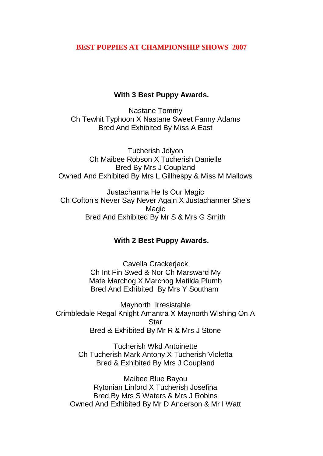## **BEST PUPPIES AT CHAMPIONSHIP SHOWS 2007**

## **With 3 Best Puppy Awards.**

Nastane Tommy Ch Tewhit Typhoon X Nastane Sweet Fanny Adams Bred And Exhibited By Miss A East

Tucherish Jolyon Ch Maibee Robson X Tucherish Danielle Bred By Mrs J Coupland Owned And Exhibited By Mrs L Gillhespy & Miss M Mallows

Justacharma He Is Our Magic Ch Cofton's Never Say Never Again X Justacharmer She's Magic Bred And Exhibited By Mr S & Mrs G Smith

## **With 2 Best Puppy Awards.**

Cavella Crackerjack Ch Int Fin Swed & Nor Ch Marsward My Mate Marchog X Marchog Matilda Plumb Bred And Exhibited By Mrs Y Southam

Maynorth Irresistable Crimbledale Regal Knight Amantra X Maynorth Wishing On A Star Bred & Exhibited By Mr R & Mrs J Stone

> Tucherish Wkd Antoinette Ch Tucherish Mark Antony X Tucherish Violetta Bred & Exhibited By Mrs J Coupland

Maibee Blue Bayou Rytonian Linford X Tucherish Josefina Bred By Mrs S Waters & Mrs J Robins Owned And Exhibited By Mr D Anderson & Mr I Watt